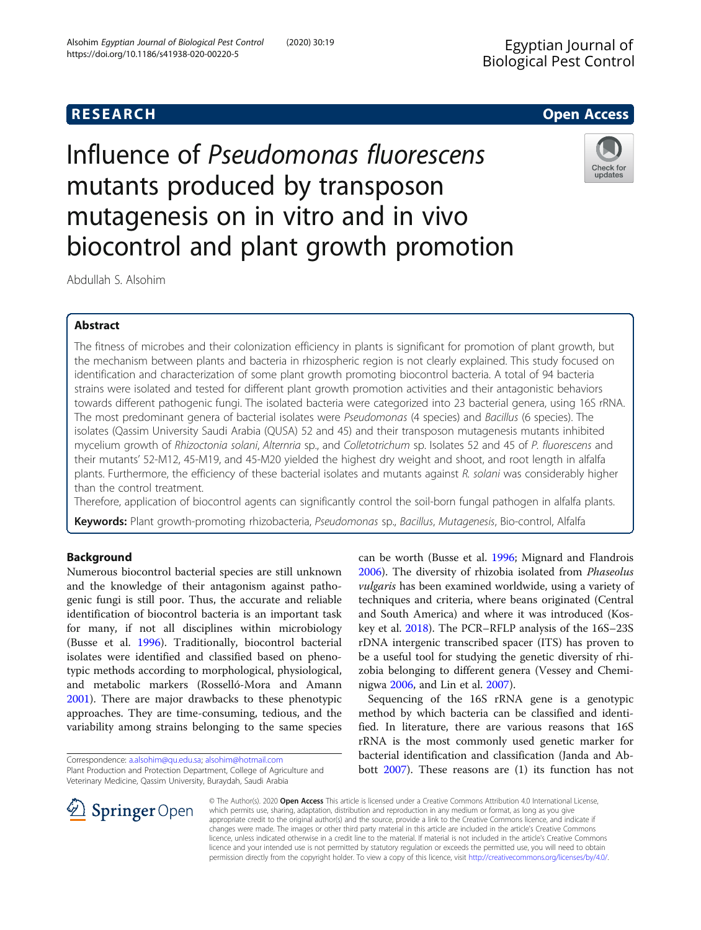Check for updates

Influence of Pseudomonas fluorescens mutants produced by transposon mutagenesis on in vitro and in vivo biocontrol and plant growth promotion

Abdullah S. Alsohim

# Abstract

The fitness of microbes and their colonization efficiency in plants is significant for promotion of plant growth, but the mechanism between plants and bacteria in rhizospheric region is not clearly explained. This study focused on identification and characterization of some plant growth promoting biocontrol bacteria. A total of 94 bacteria strains were isolated and tested for different plant growth promotion activities and their antagonistic behaviors towards different pathogenic fungi. The isolated bacteria were categorized into 23 bacterial genera, using 16S rRNA. The most predominant genera of bacterial isolates were Pseudomonas (4 species) and Bacillus (6 species). The isolates (Qassim University Saudi Arabia (QUSA) 52 and 45) and their transposon mutagenesis mutants inhibited mycelium growth of Rhizoctonia solani, Alternria sp., and Colletotrichum sp. Isolates 52 and 45 of P. fluorescens and their mutants' 52-M12, 45-M19, and 45-M20 yielded the highest dry weight and shoot, and root length in alfalfa plants. Furthermore, the efficiency of these bacterial isolates and mutants against R. solani was considerably higher than the control treatment.

Therefore, application of biocontrol agents can significantly control the soil-born fungal pathogen in alfalfa plants. Keywords: Plant growth-promoting rhizobacteria, Pseudomonas sp., Bacillus, Mutagenesis, Bio-control, Alfalfa

# Background

Numerous biocontrol bacterial species are still unknown and the knowledge of their antagonism against pathogenic fungi is still poor. Thus, the accurate and reliable identification of biocontrol bacteria is an important task for many, if not all disciplines within microbiology (Busse et al. [1996](#page-8-0)). Traditionally, biocontrol bacterial isolates were identified and classified based on phenotypic methods according to morphological, physiological, and metabolic markers (Rosselló-Mora and Amann [2001](#page-8-0)). There are major drawbacks to these phenotypic approaches. They are time-consuming, tedious, and the variability among strains belonging to the same species



Sequencing of the 16S rRNA gene is a genotypic method by which bacteria can be classified and identified. In literature, there are various reasons that 16S rRNA is the most commonly used genetic marker for bacterial identification and classification (Janda and Abbott [2007\)](#page-8-0). These reasons are (1) its function has not



© The Author(s). 2020 Open Access This article is licensed under a Creative Commons Attribution 4.0 International License, which permits use, sharing, adaptation, distribution and reproduction in any medium or format, as long as you give appropriate credit to the original author(s) and the source, provide a link to the Creative Commons licence, and indicate if changes were made. The images or other third party material in this article are included in the article's Creative Commons licence, unless indicated otherwise in a credit line to the material. If material is not included in the article's Creative Commons licence and your intended use is not permitted by statutory regulation or exceeds the permitted use, you will need to obtain permission directly from the copyright holder. To view a copy of this licence, visit <http://creativecommons.org/licenses/by/4.0/>.

Correspondence: [a.alsohim@qu.edu.sa](mailto:a.alsohim@qu.edu.sa); [alsohim@hotmail.com](mailto:alsohim@hotmail.com) Plant Production and Protection Department, College of Agriculture and Veterinary Medicine, Qassim University, Buraydah, Saudi Arabia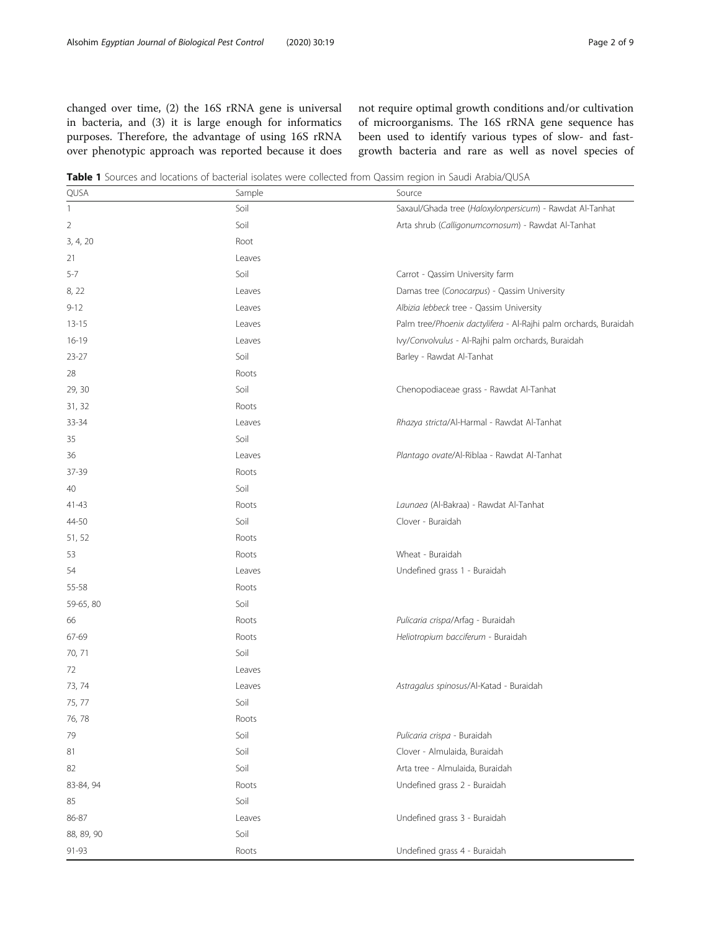<span id="page-1-0"></span>changed over time, (2) the 16S rRNA gene is universal in bacteria, and (3) it is large enough for informatics purposes. Therefore, the advantage of using 16S rRNA over phenotypic approach was reported because it does not require optimal growth conditions and/or cultivation of microorganisms. The 16S rRNA gene sequence has been used to identify various types of slow- and fastgrowth bacteria and rare as well as novel species of

Table 1 Sources and locations of bacterial isolates were collected from Qassim region in Saudi Arabia/QUSA

| QUSA         | Sample | Source                                                           |
|--------------|--------|------------------------------------------------------------------|
| $\mathbf{1}$ | Soil   | Saxaul/Ghada tree (Haloxylonpersicum) - Rawdat Al-Tanhat         |
| 2            | Soil   | Arta shrub (Calligonumcomosum) - Rawdat Al-Tanhat                |
| 3, 4, 20     | Root   |                                                                  |
| 21           | Leaves |                                                                  |
| $5 - 7$      | Soil   | Carrot - Qassim University farm                                  |
| 8, 22        | Leaves | Damas tree (Conocarpus) - Qassim University                      |
| $9 - 12$     | Leaves | Albizia lebbeck tree - Qassim University                         |
| $13 - 15$    | Leaves | Palm tree/Phoenix dactylifera - Al-Rajhi palm orchards, Buraidah |
| $16-19$      | Leaves | Ivy/Convolvulus - Al-Rajhi palm orchards, Buraidah               |
| $23 - 27$    | Soil   | Barley - Rawdat Al-Tanhat                                        |
| 28           | Roots  |                                                                  |
| 29, 30       | Soil   | Chenopodiaceae grass - Rawdat Al-Tanhat                          |
| 31, 32       | Roots  |                                                                  |
| 33-34        | Leaves | Rhazya stricta/Al-Harmal - Rawdat Al-Tanhat                      |
| 35           | Soil   |                                                                  |
| 36           | Leaves | Plantago ovate/Al-Riblaa - Rawdat Al-Tanhat                      |
| 37-39        | Roots  |                                                                  |
| 40           | Soil   |                                                                  |
| $41 - 43$    | Roots  | Launaea (Al-Bakraa) - Rawdat Al-Tanhat                           |
| 44-50        | Soil   | Clover - Buraidah                                                |
| 51, 52       | Roots  |                                                                  |
| 53           | Roots  | Wheat - Buraidah                                                 |
| 54           | Leaves | Undefined grass 1 - Buraidah                                     |
| 55-58        | Roots  |                                                                  |
| 59-65, 80    | Soil   |                                                                  |
| 66           | Roots  | Pulicaria crispa/Arfag - Buraidah                                |
| 67-69        | Roots  | Heliotropium bacciferum - Buraidah                               |
| 70, 71       | Soil   |                                                                  |
| 72           | Leaves |                                                                  |
| 73, 74       | Leaves | Astragalus spinosus/Al-Katad - Buraidah                          |
| 75, 77       | Soil   |                                                                  |
| 76, 78       | Roots  |                                                                  |
| 79           | Soil   | Pulicaria crispa - Buraidah                                      |
| 81           | Soil   | Clover - Almulaida, Buraidah                                     |
| 82           | Soil   | Arta tree - Almulaida, Buraidah                                  |
| 83-84, 94    | Roots  | Undefined grass 2 - Buraidah                                     |
| 85           | Soil   |                                                                  |
| 86-87        | Leaves | Undefined grass 3 - Buraidah                                     |
| 88, 89, 90   | Soil   |                                                                  |
| 91-93        | Roots  | Undefined grass 4 - Buraidah                                     |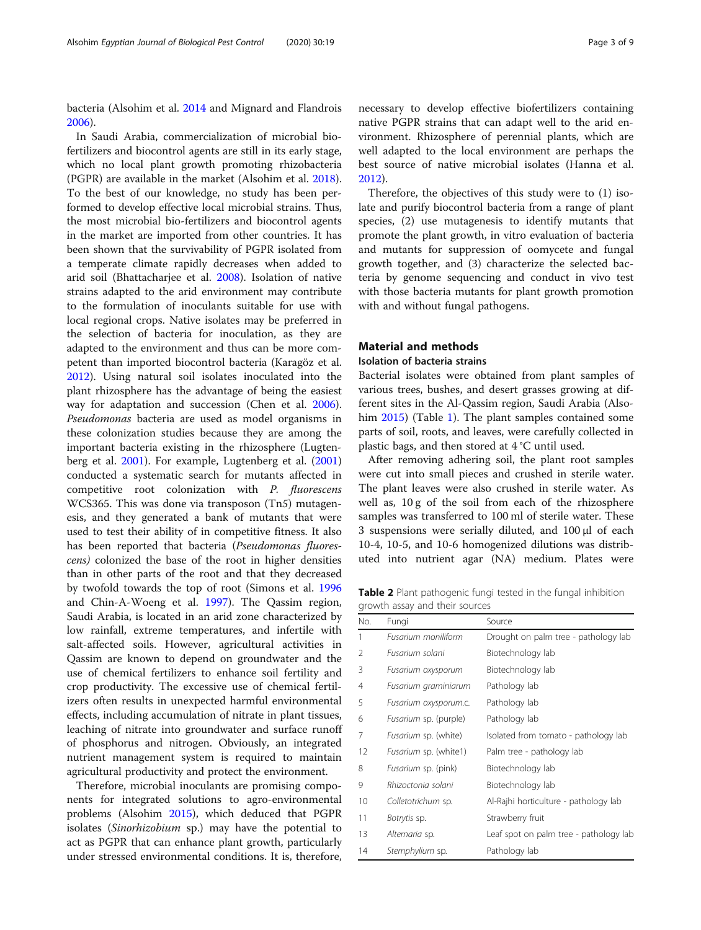<span id="page-2-0"></span>bacteria (Alsohim et al. [2014](#page-8-0) and Mignard and Flandrois [2006](#page-8-0)).

In Saudi Arabia, commercialization of microbial biofertilizers and biocontrol agents are still in its early stage, which no local plant growth promoting rhizobacteria (PGPR) are available in the market (Alsohim et al. [2018](#page-8-0)). To the best of our knowledge, no study has been performed to develop effective local microbial strains. Thus, the most microbial bio-fertilizers and biocontrol agents in the market are imported from other countries. It has been shown that the survivability of PGPR isolated from a temperate climate rapidly decreases when added to arid soil (Bhattacharjee et al. [2008\)](#page-8-0). Isolation of native strains adapted to the arid environment may contribute to the formulation of inoculants suitable for use with local regional crops. Native isolates may be preferred in the selection of bacteria for inoculation, as they are adapted to the environment and thus can be more competent than imported biocontrol bacteria (Karagöz et al. [2012](#page-8-0)). Using natural soil isolates inoculated into the plant rhizosphere has the advantage of being the easiest way for adaptation and succession (Chen et al. [2006](#page-8-0)). Pseudomonas bacteria are used as model organisms in these colonization studies because they are among the important bacteria existing in the rhizosphere (Lugtenberg et al. [2001\)](#page-8-0). For example, Lugtenberg et al. ([2001](#page-8-0)) conducted a systematic search for mutants affected in competitive root colonization with P. fluorescens WCS365. This was done via transposon (Tn5) mutagenesis, and they generated a bank of mutants that were used to test their ability of in competitive fitness. It also has been reported that bacteria (Pseudomonas fluorescens) colonized the base of the root in higher densities than in other parts of the root and that they decreased by twofold towards the top of root (Simons et al. [1996](#page-8-0) and Chin-A-Woeng et al. [1997\)](#page-8-0). The Qassim region, Saudi Arabia, is located in an arid zone characterized by low rainfall, extreme temperatures, and infertile with salt-affected soils. However, agricultural activities in Qassim are known to depend on groundwater and the use of chemical fertilizers to enhance soil fertility and crop productivity. The excessive use of chemical fertilizers often results in unexpected harmful environmental effects, including accumulation of nitrate in plant tissues, leaching of nitrate into groundwater and surface runoff of phosphorus and nitrogen. Obviously, an integrated nutrient management system is required to maintain agricultural productivity and protect the environment.

Therefore, microbial inoculants are promising components for integrated solutions to agro-environmental problems (Alsohim [2015](#page-8-0)), which deduced that PGPR isolates (Sinorhizobium sp.) may have the potential to act as PGPR that can enhance plant growth, particularly under stressed environmental conditions. It is, therefore, necessary to develop effective biofertilizers containing native PGPR strains that can adapt well to the arid environment. Rhizosphere of perennial plants, which are well adapted to the local environment are perhaps the best source of native microbial isolates (Hanna et al. [2012](#page-8-0)).

Therefore, the objectives of this study were to (1) isolate and purify biocontrol bacteria from a range of plant species, (2) use mutagenesis to identify mutants that promote the plant growth, in vitro evaluation of bacteria and mutants for suppression of oomycete and fungal growth together, and (3) characterize the selected bacteria by genome sequencing and conduct in vivo test with those bacteria mutants for plant growth promotion with and without fungal pathogens.

# Material and methods

## Isolation of bacteria strains

Bacterial isolates were obtained from plant samples of various trees, bushes, and desert grasses growing at different sites in the Al-Qassim region, Saudi Arabia (Alsohim [2015\)](#page-8-0) (Table [1](#page-1-0)). The plant samples contained some parts of soil, roots, and leaves, were carefully collected in plastic bags, and then stored at 4 °C until used.

After removing adhering soil, the plant root samples were cut into small pieces and crushed in sterile water. The plant leaves were also crushed in sterile water. As well as, 10 g of the soil from each of the rhizosphere samples was transferred to 100 ml of sterile water. These 3 suspensions were serially diluted, and 100 μl of each 10-4, 10-5, and 10-6 homogenized dilutions was distributed into nutrient agar (NA) medium. Plates were

Table 2 Plant pathogenic fungi tested in the fungal inhibition growth assay and their sources

| No. | Fungi                        | Source                                 |
|-----|------------------------------|----------------------------------------|
| 1   | Fusarium moniliform          | Drought on palm tree - pathology lab   |
| 2   | Fusarium solani              | Biotechnology lab                      |
| 3   | Fusarium oxysporum           | Biotechnology lab                      |
| 4   | Fusarium graminiarum         | Pathology lab                          |
| 5   | Fusarium oxysporum.c.        | Pathology lab                          |
| 6   | <i>Fusarium</i> sp. (purple) | Pathology lab                          |
| 7   | <i>Fusarium</i> sp. (white)  | Isolated from tomato - pathology lab   |
| 12  | <i>Fusarium</i> sp. (white1) | Palm tree - pathology lab              |
| 8   | <i>Fusarium</i> sp. (pink)   | Biotechnology lab                      |
| 9   | Rhizoctonia solani           | Biotechnology lab                      |
| 10  | Colletotrichum sp.           | Al-Rajhi horticulture - pathology lab  |
| 11  | Botrytis sp.                 | Strawberry fruit                       |
| 13  | Alternaria sp.               | Leaf spot on palm tree - pathology lab |
| 14  | Stemphylium sp.              | Pathology lab                          |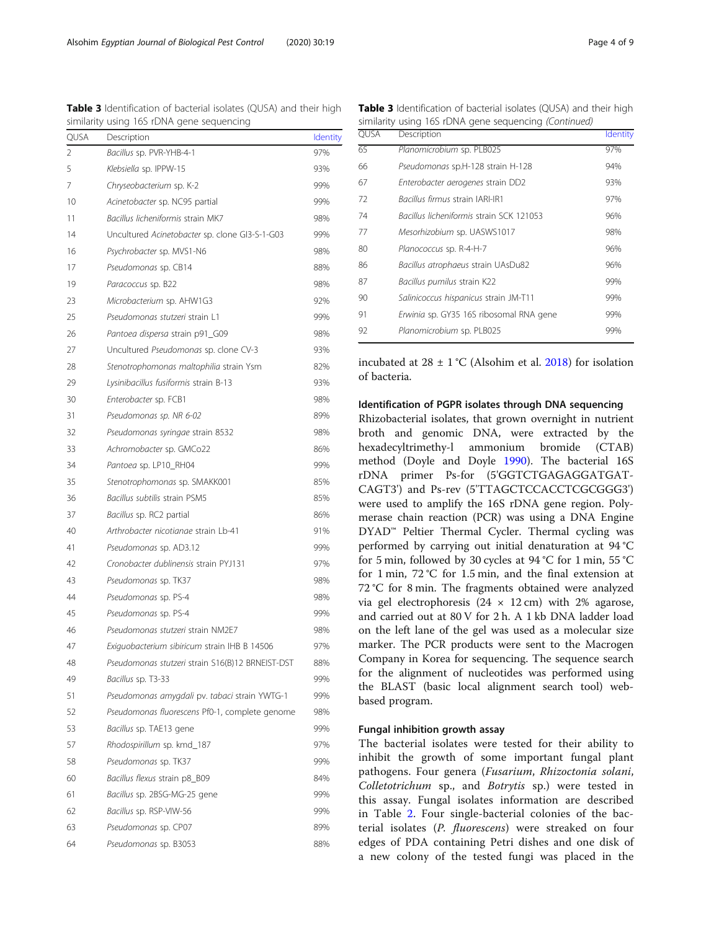|      | similianty using nos nono gene sequencing        |                 |
|------|--------------------------------------------------|-----------------|
| QUSA | Description                                      | <b>Identity</b> |
| 2    | Bacillus sp. PVR-YHB-4-1                         | 97%             |
| 5    | Klebsiella sp. IPPW-15                           | 93%             |
| 7    | Chryseobacterium sp. K-2                         | 99%             |
| 10   | Acinetobacter sp. NC95 partial                   | 99%             |
| 11   | Bacillus licheniformis strain MK7                | 98%             |
| 14   | Uncultured Acinetobacter sp. clone GI3-S-1-G03   | 99%             |
| 16   | Psychrobacter sp. MVS1-N6                        | 98%             |
| 17   | Pseudomonas sp. CB14                             | 88%             |
| 19   | Paracoccus sp. B22                               | 98%             |
| 23   | Microbacterium sp. AHW1G3                        | 92%             |
| 25   | Pseudomonas stutzeri strain L1                   | 99%             |
| 26   | Pantoea dispersa strain p91_G09                  | 98%             |
| 27   | Uncultured Pseudomonas sp. clone CV-3            | 93%             |
| 28   | Stenotrophomonas maltophilia strain Ysm          | 82%             |
| 29   | Lysinibacillus fusiformis strain B-13            | 93%             |
| 30   | Enterobacter sp. FCB1                            | 98%             |
| 31   | Pseudomonas sp. NR 6-02                          | 89%             |
| 32   | Pseudomonas syringae strain 8532                 | 98%             |
| 33   | Achromobacter sp. GMCo22                         | 86%             |
| 34   | Pantoea sp. LP10_RH04                            | 99%             |
| 35   | Stenotrophomonas sp. SMAKK001                    | 85%             |
| 36   | Bacillus subtilis strain PSM5                    | 85%             |
| 37   | Bacillus sp. RC2 partial                         | 86%             |
| 40   | Arthrobacter nicotianae strain Lb-41             | 91%             |
| 41   | Pseudomonas sp. AD3.12                           | 99%             |
| 42   | Cronobacter dublinensis strain PYJ131            | 97%             |
| 43   | Pseudomonas sp. TK37                             | 98%             |
| 44   | Pseudomonas sp. PS-4                             | 98%             |
| 45   | Pseudomonas sp. PS-4                             | 99%             |
| 46   | Pseudomonas stutzeri strain NM2E7                | 98%             |
| 47   | Exiguobacterium sibiricum strain IHB B 14506     | 97%             |
| 48   | Pseudomonas stutzeri strain S16(B)12 BRNEIST-DST | 88%             |
| 49   | Bacillus sp. T3-33                               | 99%             |
| 51   | Pseudomonas amygdali pv. tabaci strain YWTG-1    | 99%             |
| 52   | Pseudomonas fluorescens Pf0-1, complete genome   | 98%             |
| 53   | Bacillus sp. TAE13 gene                          | 99%             |
| 57   | Rhodospirillum sp. kmd_187                       | 97%             |
| 58   | Pseudomonas sp. TK37                             | 99%             |
| 60   | Bacillus flexus strain p8_B09                    | 84%             |
| 61   | Bacillus sp. 2BSG-MG-25 gene                     | 99%             |
| 62   | Bacillus sp. RSP-VIW-56                          | 99%             |
| 63   | Pseudomonas sp. CP07                             | 89%             |
| 64   | Pseudomonas sp. B3053                            | 88%             |

<span id="page-3-0"></span>Table 3 Identification of bacterial isolates (QUSA) and their high similarity using 16S rDNA gene sequencing Table 3 Identification of bacterial isolates (QUSA) and their high

similarity using 16S rDNA gene sequencing (Continued) QUSA Description [Identity](http://blast.ncbi.nlm.nih.gov/Blast.cgi?CMD=Get&ALIGNMENTS=100&ALIGNMENT_VIEW=Pairwise&DATABASE_SORT=0&DESCRIPTIONS=100&DYNAMIC_FORMAT=on&FIRST_QUERY_NUM=0&FORMAT_OBJECT=Alignment&FORMAT_PAGE_TARGET=&FORMAT_TYPE=HTML&GET_SEQUENCE=yes&I_THRESH=&LINE_LENGTH=60&MASK_CHAR=2&MASK_COLOR=1&NUM_OVERVIEW=100&OLD_BLAST=false&PAGE=MegaBlast&QUERY_INDEX=0&QUERY_NUMBER=0&RESULTS_PAGE_TARGET=&RID=PN955BSS014&SHOW_LINKOUT=yes&SHOW_OVERVIEW=yes&STEP_NUMBER=&DISPLAY_SORT=3&HSP_SORT=3) 65 Planomicrobium sp. PLB025 97% 66 Pseudomonas sp.H-128 strain H-128 94% 67 Enterobacter aerogenes strain DD2 93% 72 Bacillus firmus strain IARI-IR1 97% 74 Bacillus licheniformis strain SCK 121053 96% 77 Mesorhizobium sp. UASWS1017 98% 80 Planococcus sp. R-4-H-7 96% 86 Bacillus atrophaeus strain UAsDu82 96% 87 Bacillus pumilus strain K22 99% 90 Salinicoccus hispanicus strain JM-T11 99% 91 Erwinia sp. GY35 16S ribosomal RNA gene 99% 92 Planomicrobium sp. PLB025 99%

incubated at  $28 \pm 1$  °C (Alsohim et al. [2018\)](#page-8-0) for isolation of bacteria.

## Identification of PGPR isolates through DNA sequencing

Rhizobacterial isolates, that grown overnight in nutrient broth and genomic DNA, were extracted by the hexadecyltrimethy-l ammonium bromide (CTAB) method (Doyle and Doyle [1990\)](#page-8-0). The bacterial 16S rDNA primer Ps-for (5'GGTCTGAGAGGATGAT-CAGT3') and Ps-rev (5'TTAGCTCCACCTCGCGGG3') were used to amplify the 16S rDNA gene region. Polymerase chain reaction (PCR) was using a DNA Engine DYAD™ Peltier Thermal Cycler. Thermal cycling was performed by carrying out initial denaturation at 94 °C for 5 min, followed by 30 cycles at 94 °C for 1 min, 55 °C for 1 min, 72 °C for 1.5 min, and the final extension at 72 °C for 8 min. The fragments obtained were analyzed via gel electrophoresis  $(24 \times 12 \text{ cm})$  with 2% agarose, and carried out at 80 V for 2 h. A 1 kb DNA ladder load on the left lane of the gel was used as a molecular size marker. The PCR products were sent to the Macrogen Company in Korea for sequencing. The sequence search for the alignment of nucleotides was performed using the BLAST (basic local alignment search tool) webbased program.

## Fungal inhibition growth assay

The bacterial isolates were tested for their ability to inhibit the growth of some important fungal plant pathogens. Four genera (Fusarium, Rhizoctonia solani, Colletotrichum sp., and Botrytis sp.) were tested in this assay. Fungal isolates information are described in Table [2](#page-2-0). Four single-bacterial colonies of the bacterial isolates (P. fluorescens) were streaked on four edges of PDA containing Petri dishes and one disk of a new colony of the tested fungi was placed in the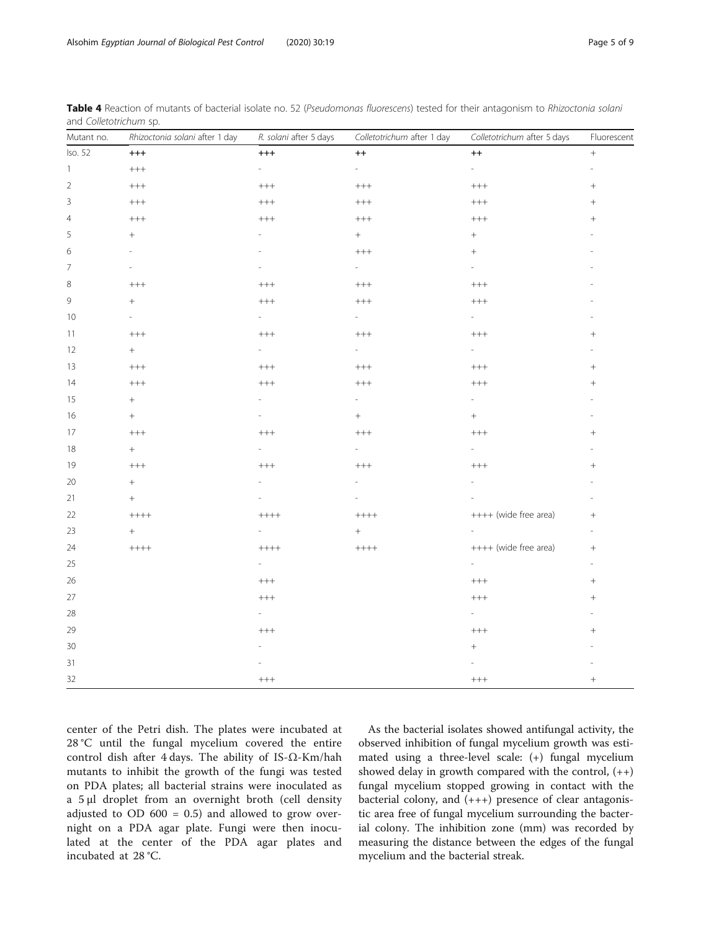| Mutant no.     | Rhizoctonia solani after 1 day | R. solani after 5 days                               | Colletotrichum after 1 day                                         | Colletotrichum after 5 days                          | Fluorescent              |
|----------------|--------------------------------|------------------------------------------------------|--------------------------------------------------------------------|------------------------------------------------------|--------------------------|
| Iso. 52        | $^{+++}$                       | $^{+++}$                                             | $^{\rm ++}$                                                        | $^{\rm ++}$                                          | $^{+}$                   |
| $\mathbf{1}$   | $\color{red}++++$              | $\overline{\phantom{a}}$                             | $\overline{a}$                                                     | $\sim$                                               | $\overline{\phantom{a}}$ |
| $\sqrt{2}$     | $++++$                         | $++++$                                               | $++++$                                                             | $+++$                                                |                          |
| $\mathsf 3$    | $^{+++}$                       | $\!$                                                 | $\color{red} ++\color{red} +\color{red} +\color{red} +\color{red}$ | $\color{red} +\color{red} +\color{red} +\color{red}$ |                          |
| $\overline{4}$ | $^{+++}$                       | $\color{red} +\color{red} +\color{red} +\color{red}$ | $\!$                                                               | $\color{red} +\color{red} +\color{red} +\color{red}$ |                          |
| 5              | $+$                            |                                                      | $+$                                                                | $\! +$                                               |                          |
| 6              |                                |                                                      | $++++$                                                             | $+$                                                  |                          |
| 7              | $\overline{a}$                 | $\overline{\phantom{a}}$                             | $\sim$                                                             | $\sim$                                               |                          |
| 8              | $^{+++}$                       | $^{+++}$                                             | $++++$                                                             | $^{+++}$                                             |                          |
| $\mathcal{G}$  | $^{+}$                         | $^{+++}$                                             | $^{+++}$                                                           | $^{+++}$                                             |                          |
| 10             |                                |                                                      | ÷                                                                  | $\sim$                                               |                          |
| 11             | $^{+++}$                       | $++++$                                               | $++++$                                                             | $++++$                                               | $+$                      |
| 12             | $+$                            | $\sim$                                               | $\overline{\phantom{a}}$                                           | $\overline{\phantom{a}}$                             |                          |
| 13             | $^{+++}$                       | $^{+++}$                                             | $++++$                                                             | $^{+++}$                                             |                          |
| 14             | $^{+++}$                       | $\color{red} +\color{red} +\color{red} +\color{red}$ | $^{+++}$                                                           | $^{+++}$                                             | $^{+}$                   |
| 15             | $^{+}$                         |                                                      | L,                                                                 | ÷.                                                   |                          |
| 16             | $^{+}$                         | $\overline{a}$                                       | $^{+}$                                                             | $\! +$                                               | ÷                        |
| 17             | $^{+++}$                       | $^{+++}$                                             | $^{+++}$                                                           | $^{+++}$                                             | $+$                      |
| $18\,$         | $^{+}$                         |                                                      | $\overline{\phantom{0}}$                                           | $\overline{\phantom{a}}$                             |                          |
| 19             | $^{+++}$                       | $^{+++}$                                             | $++++$                                                             | $++++$                                               |                          |
| 20             | $^{+}$                         |                                                      |                                                                    |                                                      |                          |
| 21             | $\! + \!$                      |                                                      |                                                                    |                                                      | ÷                        |
| 22             | $+++++$                        | $+++++$                                              | $+++++$                                                            | ++++ (wide free area)                                | $+$                      |
| 23             | $+$                            | $\sim 10^{-11}$                                      | $^{+}$                                                             |                                                      | $\overline{\phantom{a}}$ |
| 24             | $+++++$                        | $+++++$                                              | $+++++$                                                            | ++++ (wide free area)                                | $\boldsymbol{+}$         |
| 25             |                                | $\sim$ 10 $\pm$                                      |                                                                    | $\sim 10^{-1}$                                       | ÷.                       |
| 26             |                                | $^{+++}$                                             |                                                                    | $\color{red} +\color{red} +\color{red} +\color{red}$ | $+$                      |
| $27\,$         |                                | $^{+++}$                                             |                                                                    | $++++$                                               |                          |
| $28\,$         |                                | $\sim$                                               |                                                                    | $\mathcal{L}^{\pm}$                                  |                          |
| 29             |                                | $^{+++}$                                             |                                                                    | $^{+++}$                                             | $+$                      |
| 30             |                                |                                                      |                                                                    | $^+$                                                 |                          |
| 31             |                                |                                                      |                                                                    |                                                      |                          |
| 32             |                                | $\!++\!+$                                            |                                                                    | $\color{red} + + +$                                  | $^{+}$                   |

<span id="page-4-0"></span>Table 4 Reaction of mutants of bacterial isolate no. 52 (Pseudomonas fluorescens) tested for their antagonism to Rhizoctonia solani and Colletotrichum sp.

center of the Petri dish. The plates were incubated at 28 °C until the fungal mycelium covered the entire control dish after 4 days. The ability of IS-Ω-Km/hah mutants to inhibit the growth of the fungi was tested on PDA plates; all bacterial strains were inoculated as a 5 μl droplet from an overnight broth (cell density adjusted to OD  $600 = 0.5$ ) and allowed to grow overnight on a PDA agar plate. Fungi were then inoculated at the center of the PDA agar plates and incubated at 28 °C.

As the bacterial isolates showed antifungal activity, the observed inhibition of fungal mycelium growth was estimated using a three-level scale: (+) fungal mycelium showed delay in growth compared with the control,  $(++)$ fungal mycelium stopped growing in contact with the bacterial colony, and  $(+++)$  presence of clear antagonistic area free of fungal mycelium surrounding the bacterial colony. The inhibition zone (mm) was recorded by measuring the distance between the edges of the fungal mycelium and the bacterial streak.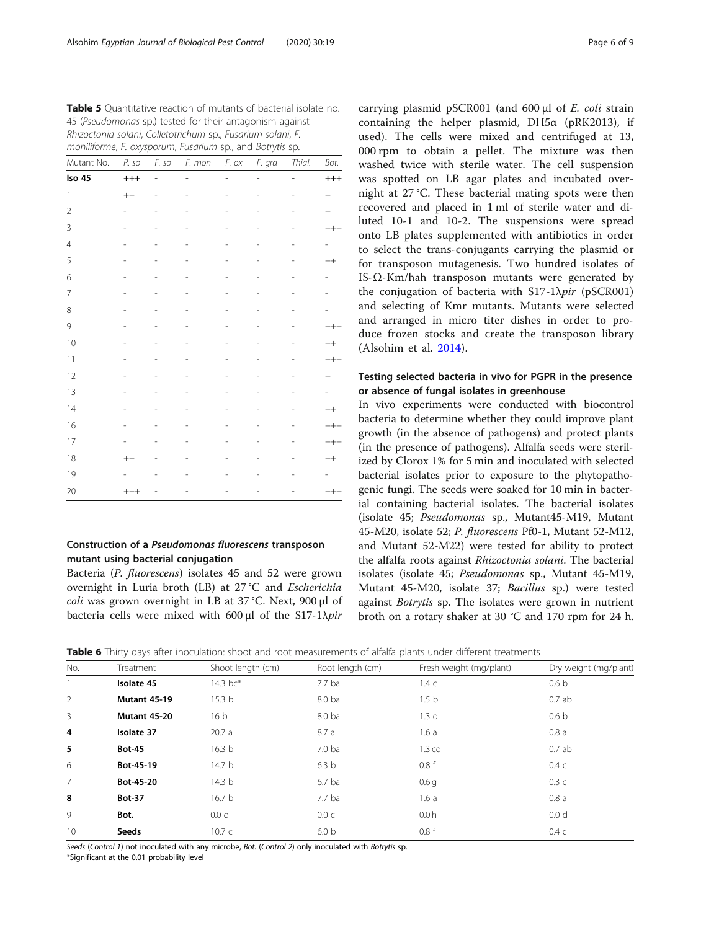<span id="page-5-0"></span>Table 5 Quantitative reaction of mutants of bacterial isolate no. 45 (Pseudomonas sp.) tested for their antagonism against Rhizoctonia solani, Colletotrichum sp., Fusarium solani, F. moniliforme, F. oxysporum, Fusarium sp., and Botrytis sp.

| Mutant No.     | R. so          | F. so | F. mon | F. ox                    | F. gra | Thial. | Bot.          |
|----------------|----------------|-------|--------|--------------------------|--------|--------|---------------|
| Iso 45         | $^{+++}$       |       |        |                          |        |        | $^{+++}$      |
| $\mathbf{1}$   | $^{++}$        |       |        |                          |        |        | $^{+}$        |
| $\overline{2}$ |                |       |        |                          |        |        | $^{+}$        |
| 3              | $\overline{a}$ |       |        | $\overline{\phantom{0}}$ |        |        | $++++$        |
| $\overline{4}$ |                |       |        |                          |        |        | ÷             |
| 5              |                |       |        |                          |        |        | $^{++}$       |
| 6              |                |       |        |                          |        |        |               |
| $\overline{7}$ |                |       |        | i.                       |        |        |               |
| 8              |                |       |        |                          |        |        |               |
| 9              |                |       |        |                          |        |        | $++++$        |
| 10             |                |       |        |                          |        |        | $++$          |
| 11             |                |       |        |                          |        |        | $++++$        |
| 12             |                |       |        |                          |        |        | $^{+}$        |
| 13             |                |       |        |                          |        |        | $\frac{1}{2}$ |
| 14             |                |       |        |                          |        |        | $++$          |
| 16             |                |       |        |                          |        |        | $^{+++}$      |
| 17             |                |       |        |                          |        |        | $++++$        |
| 18             | $^{++}$        |       |        |                          |        |        | $^{++}$       |
| 19             |                |       |        |                          |        |        |               |
| 20             | $^{+++}$       |       |        |                          |        |        | $^{+++}$      |

# Construction of a Pseudomonas fluorescens transposon mutant using bacterial conjugation

Bacteria (P. fluorescens) isolates 45 and 52 were grown overnight in Luria broth (LB) at 27 °C and Escherichia coli was grown overnight in LB at 37 °C. Next, 900 μl of bacteria cells were mixed with 600 μl of the S17-1 $\lambda$ pir

carrying plasmid pSCR001 (and 600 μl of E. coli strain containing the helper plasmid,  $DH5\alpha$  (pRK2013), if used). The cells were mixed and centrifuged at 13, 000 rpm to obtain a pellet. The mixture was then washed twice with sterile water. The cell suspension was spotted on LB agar plates and incubated overnight at 27 °C. These bacterial mating spots were then recovered and placed in 1 ml of sterile water and diluted 10-1 and 10-2. The suspensions were spread onto LB plates supplemented with antibiotics in order to select the trans-conjugants carrying the plasmid or for transposon mutagenesis. Two hundred isolates of IS-Ω-Km/hah transposon mutants were generated by the conjugation of bacteria with  $S17-1\lambda\pi r$  (pSCR001) and selecting of Kmr mutants. Mutants were selected and arranged in micro titer dishes in order to produce frozen stocks and create the transposon library (Alsohim et al. [2014\)](#page-8-0).

# Testing selected bacteria in vivo for PGPR in the presence or absence of fungal isolates in greenhouse

In vivo experiments were conducted with biocontrol bacteria to determine whether they could improve plant growth (in the absence of pathogens) and protect plants (in the presence of pathogens). Alfalfa seeds were sterilized by Clorox 1% for 5 min and inoculated with selected bacterial isolates prior to exposure to the phytopathogenic fungi. The seeds were soaked for 10 min in bacterial containing bacterial isolates. The bacterial isolates (isolate 45; Pseudomonas sp., Mutant45-M19, Mutant 45-M20, isolate 52; P. fluorescens Pf0-1, Mutant 52-M12, and Mutant 52-M22) were tested for ability to protect the alfalfa roots against Rhizoctonia solani. The bacterial isolates (isolate 45; Pseudomonas sp., Mutant 45-M19, Mutant 45-M20, isolate 37; Bacillus sp.) were tested against Botrytis sp. The isolates were grown in nutrient broth on a rotary shaker at 30 °C and 170 rpm for 24 h.

**Table 6** Thirty days after inoculation: shoot and root measurements of alfalfa plants under different treatments

|                | $\overline{\phantom{a}}$<br>$\overline{\phantom{a}}$ |                   |                  |                         |                       |
|----------------|------------------------------------------------------|-------------------|------------------|-------------------------|-----------------------|
| No.            | Treatment                                            | Shoot length (cm) | Root length (cm) | Fresh weight (mg/plant) | Dry weight (mg/plant) |
|                | Isolate 45                                           | 14.3 bc*          | 7.7 ba           | $1.4\ c$                | 0.6 <sub>b</sub>      |
| 2              | <b>Mutant 45-19</b>                                  | 15.3 <sub>b</sub> | 8.0 ba           | 1.5 <sub>b</sub>        | 0.7ab                 |
| $\overline{3}$ | Mutant 45-20                                         | 16 <sub>b</sub>   | 8.0 ba           | 1.3 <sub>d</sub>        | 0.6 <sub>b</sub>      |
| 4              | Isolate 37                                           | 20.7a             | 8.7a             | 1.6a                    | 0.8a                  |
| 5              | <b>Bot-45</b>                                        | 16.3 <sub>b</sub> | 7.0 <sub>b</sub> | $1.3$ cd                | 0.7ab                 |
| 6              | Bot-45-19                                            | 14.7 <sub>b</sub> | 6.3 <sub>b</sub> | 0.8f                    | $0.4\ c$              |
| $\overline{7}$ | Bot-45-20                                            | 14.3 <sub>b</sub> | $6.7$ ba         | 0.6 <sub>q</sub>        | 0.3c                  |
| 8              | <b>Bot-37</b>                                        | 16.7 <sub>b</sub> | $7.7$ ba         | 1.6a                    | 0.8a                  |
| 9              | Bot.                                                 | 0.0 <sub>d</sub>  | 0.0 c            | 0.0h                    | 0.0 <sub>d</sub>      |
| 10             | <b>Seeds</b>                                         | 10.7c             | 6.0 <sub>b</sub> | 0.8f                    | $0.4\ c$              |
|                |                                                      |                   |                  |                         |                       |

Seeds (Control 1) not inoculated with any microbe, Bot. (Control 2) only inoculated with Botrytis sp.

\*Significant at the 0.01 probability level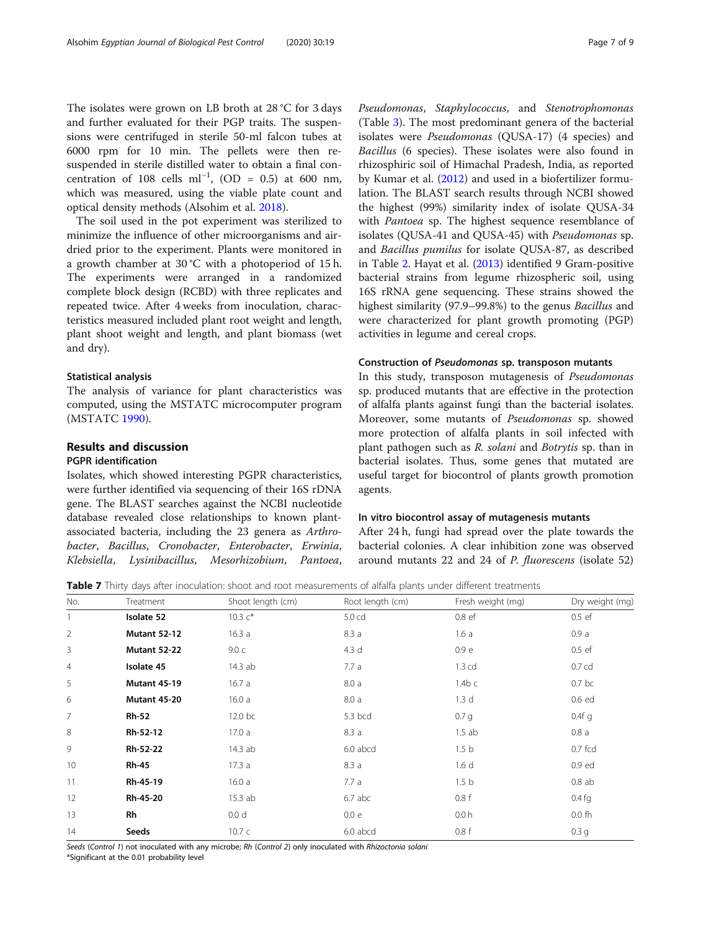<span id="page-6-0"></span>The isolates were grown on LB broth at 28 °C for 3 days and further evaluated for their PGP traits. The suspensions were centrifuged in sterile 50-ml falcon tubes at 6000 rpm for 10 min. The pellets were then resuspended in sterile distilled water to obtain a final concentration of 108 cells ml<sup>-1</sup>, (OD = 0.5) at 600 nm, which was measured, using the viable plate count and optical density methods (Alsohim et al. [2018\)](#page-8-0).

The soil used in the pot experiment was sterilized to minimize the influence of other microorganisms and airdried prior to the experiment. Plants were monitored in a growth chamber at 30 °C with a photoperiod of 15 h. The experiments were arranged in a randomized complete block design (RCBD) with three replicates and repeated twice. After 4 weeks from inoculation, characteristics measured included plant root weight and length, plant shoot weight and length, and plant biomass (wet and dry).

## Statistical analysis

The analysis of variance for plant characteristics was computed, using the MSTATC microcomputer program (MSTATC [1990](#page-8-0)).

## Results and discussion

# PGPR identification

Isolates, which showed interesting PGPR characteristics, were further identified via sequencing of their 16S rDNA gene. The BLAST searches against the NCBI nucleotide database revealed close relationships to known plantassociated bacteria, including the 23 genera as Arthrobacter, Bacillus, Cronobacter, Enterobacter, Erwinia, Klebsiella, Lysinibacillus, Mesorhizobium, Pantoea,

Pseudomonas, Staphylococcus, and Stenotrophomonas (Table [3](#page-3-0)). The most predominant genera of the bacterial isolates were Pseudomonas (QUSA-17) (4 species) and Bacillus (6 species). These isolates were also found in rhizosphiric soil of Himachal Pradesh, India, as reported by Kumar et al. ([2012\)](#page-8-0) and used in a biofertilizer formulation. The BLAST search results through NCBI showed the highest (99%) similarity index of isolate QUSA-34 with *Pantoea* sp. The highest sequence resemblance of isolates (QUSA-41 and QUSA-45) with Pseudomonas sp. and Bacillus pumilus for isolate QUSA-87, as described in Table [2.](#page-2-0) Hayat et al. ([2013\)](#page-8-0) identified 9 Gram-positive bacterial strains from legume rhizospheric soil, using 16S rRNA gene sequencing. These strains showed the highest similarity (97.9–99.8%) to the genus Bacillus and were characterized for plant growth promoting (PGP) activities in legume and cereal crops.

## Construction of Pseudomonas sp. transposon mutants

In this study, transposon mutagenesis of Pseudomonas sp. produced mutants that are effective in the protection of alfalfa plants against fungi than the bacterial isolates. Moreover, some mutants of Pseudomonas sp. showed more protection of alfalfa plants in soil infected with plant pathogen such as R. solani and Botrytis sp. than in bacterial isolates. Thus, some genes that mutated are useful target for biocontrol of plants growth promotion agents.

## In vitro biocontrol assay of mutagenesis mutants

After 24 h, fungi had spread over the plate towards the bacterial colonies. A clear inhibition zone was observed around mutants 22 and 24 of P. fluorescens (isolate 52)

Table 7 Thirty days after inoculation: shoot and root measurements of alfalfa plants under different treatments

| No.            | Treatment           | Shoot length (cm) | Root length (cm) | Fresh weight (mg) | Dry weight (mg)   |
|----------------|---------------------|-------------------|------------------|-------------------|-------------------|
|                | Isolate 52          | 10.3 $c^*$        | 5.0 cd           | 0.8 ef            | 0.5ef             |
| $\overline{2}$ | <b>Mutant 52-12</b> | 16.3a             | 8.3a             | 1.6a              | 0.9a              |
| 3              | <b>Mutant 52-22</b> | 9.0 <sub>c</sub>  | 4.3 d            | 0.9 e             | 0.5ef             |
| $\overline{4}$ | Isolate 45          | 14.3 ab           | 7.7a             | 1.3 <sub>cd</sub> | 0.7 <sub>cd</sub> |
| 5              | <b>Mutant 45-19</b> | 16.7a             | 8.0a             | $1.4b$ c          | 0.7 <sub>bc</sub> |
| 6              | <b>Mutant 45-20</b> | 16.0a             | 8.0a             | 1.3 <sub>d</sub>  | 0.6 ed            |
| 7              | <b>Rh-52</b>        | 12.0 bc           | 5.3 bcd          | 0.7 <sub>q</sub>  | $0.4f$ q          |
| 8              | Rh-52-12            | 17.0a             | 8.3a             | 1.5ab             | 0.8a              |
| 9              | Rh-52-22            | 14.3 ab           | 6.0 abcd         | 1.5 <sub>b</sub>  | $0.7$ fcd         |
| 10             | <b>Rh-45</b>        | 17.3a             | 8.3a             | 1.6 <sub>d</sub>  | 0.9 ed            |
| 11             | Rh-45-19            | 16.0a             | 7.7a             | 1.5 <sub>b</sub>  | 0.8ab             |
| 12             | Rh-45-20            | 15.3 ab           | $6.7$ abc        | 0.8f              | $0.4$ fg          |
| 13             | Rh                  | 0.0 <sub>d</sub>  | 0.0 e            | 0.0h              | 0.0 <sub>fn</sub> |
| 14             | Seeds               | 10.7c             | 6.0 abcd         | 0.8 f             | 0.3 <sub>q</sub>  |

Seeds (Control 1) not inoculated with any microbe; Rh (Control 2) only inoculated with Rhizoctonia solani

\*Significant at the 0.01 probability level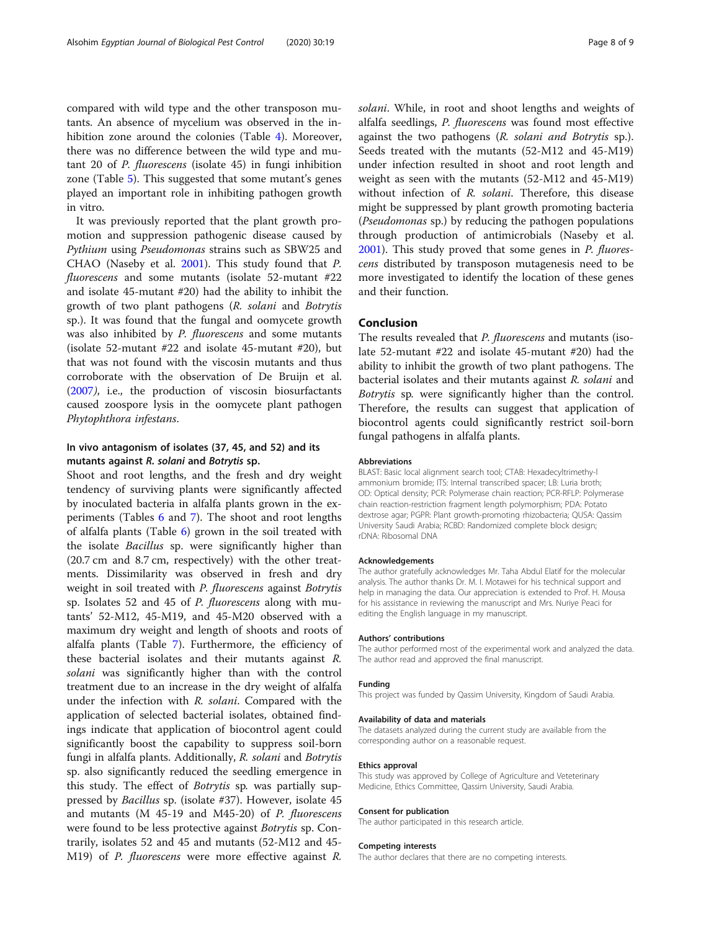compared with wild type and the other transposon mutants. An absence of mycelium was observed in the inhibition zone around the colonies (Table [4\)](#page-4-0). Moreover, there was no difference between the wild type and mutant 20 of P. fluorescens (isolate 45) in fungi inhibition zone (Table [5](#page-5-0)). This suggested that some mutant's genes played an important role in inhibiting pathogen growth in vitro.

It was previously reported that the plant growth promotion and suppression pathogenic disease caused by Pythium using Pseudomonas strains such as SBW25 and CHAO (Naseby et al. [2001\)](#page-8-0). This study found that P. fluorescens and some mutants (isolate 52-mutant #22 and isolate 45-mutant #20) had the ability to inhibit the growth of two plant pathogens (R. solani and Botrytis sp.). It was found that the fungal and oomycete growth was also inhibited by *P. fluorescens* and some mutants (isolate 52-mutant #22 and isolate 45-mutant #20), but that was not found with the viscosin mutants and thus corroborate with the observation of De Bruijn et al. ([2007](#page-8-0)), i.e., the production of viscosin biosurfactants caused zoospore lysis in the oomycete plant pathogen Phytophthora infestans.

# In vivo antagonism of isolates (37, 45, and 52) and its mutants against R. solani and Botrytis sp.

Shoot and root lengths, and the fresh and dry weight tendency of surviving plants were significantly affected by inoculated bacteria in alfalfa plants grown in the experiments (Tables [6](#page-5-0) and [7\)](#page-6-0). The shoot and root lengths of alfalfa plants (Table [6\)](#page-5-0) grown in the soil treated with the isolate Bacillus sp. were significantly higher than (20.7 cm and 8.7 cm, respectively) with the other treatments. Dissimilarity was observed in fresh and dry weight in soil treated with *P. fluorescens* against *Botrytis* sp. Isolates 52 and 45 of P. fluorescens along with mutants' 52-M12, 45-M19, and 45-M20 observed with a maximum dry weight and length of shoots and roots of alfalfa plants (Table [7\)](#page-6-0). Furthermore, the efficiency of these bacterial isolates and their mutants against R. solani was significantly higher than with the control treatment due to an increase in the dry weight of alfalfa under the infection with R. solani. Compared with the application of selected bacterial isolates, obtained findings indicate that application of biocontrol agent could significantly boost the capability to suppress soil-born fungi in alfalfa plants. Additionally, R. solani and Botrytis sp. also significantly reduced the seedling emergence in this study. The effect of Botrytis sp. was partially suppressed by Bacillus sp. (isolate #37). However, isolate 45 and mutants (M  $45-19$  and M45-20) of *P. fluorescens* were found to be less protective against Botrytis sp. Contrarily, isolates 52 and 45 and mutants (52-M12 and 45- M19) of P. fluorescens were more effective against R.

solani. While, in root and shoot lengths and weights of alfalfa seedlings, P. fluorescens was found most effective against the two pathogens (R. solani and Botrytis sp.). Seeds treated with the mutants (52-M12 and 45-M19) under infection resulted in shoot and root length and weight as seen with the mutants (52-M12 and 45-M19) without infection of R. solani. Therefore, this disease might be suppressed by plant growth promoting bacteria (Pseudomonas sp.) by reducing the pathogen populations through production of antimicrobials (Naseby et al. [2001](#page-8-0)). This study proved that some genes in *P. fluores*cens distributed by transposon mutagenesis need to be more investigated to identify the location of these genes and their function.

## Conclusion

The results revealed that *P. fluorescens* and mutants (isolate 52-mutant #22 and isolate 45-mutant #20) had the ability to inhibit the growth of two plant pathogens. The bacterial isolates and their mutants against R. solani and Botrytis sp. were significantly higher than the control. Therefore, the results can suggest that application of biocontrol agents could significantly restrict soil-born fungal pathogens in alfalfa plants.

### Abbreviations

BLAST: Basic local alignment search tool; CTAB: Hexadecyltrimethy-l ammonium bromide; ITS: Internal transcribed spacer; LB: Luria broth; OD: Optical density; PCR: Polymerase chain reaction; PCR-RFLP: Polymerase chain reaction-restriction fragment length polymorphism; PDA: Potato dextrose agar; PGPR: Plant growth-promoting rhizobacteria; QUSA: Qassim University Saudi Arabia; RCBD: Randomized complete block design; rDNA: Ribosomal DNA

## Acknowledgements

The author gratefully acknowledges Mr. Taha Abdul Elatif for the molecular analysis. The author thanks Dr. M. I. Motawei for his technical support and help in managing the data. Our appreciation is extended to Prof. H. Mousa for his assistance in reviewing the manuscript and Mrs. Nuriye Peaci for editing the English language in my manuscript.

#### Authors' contributions

The author performed most of the experimental work and analyzed the data. The author read and approved the final manuscript.

#### Funding

This project was funded by Qassim University, Kingdom of Saudi Arabia.

## Availability of data and materials

The datasets analyzed during the current study are available from the corresponding author on a reasonable request.

#### Ethics approval

This study was approved by College of Agriculture and Veteterinary Medicine, Ethics Committee, Qassim University, Saudi Arabia.

#### Consent for publication

The author participated in this research article.

#### Competing interests

The author declares that there are no competing interests.